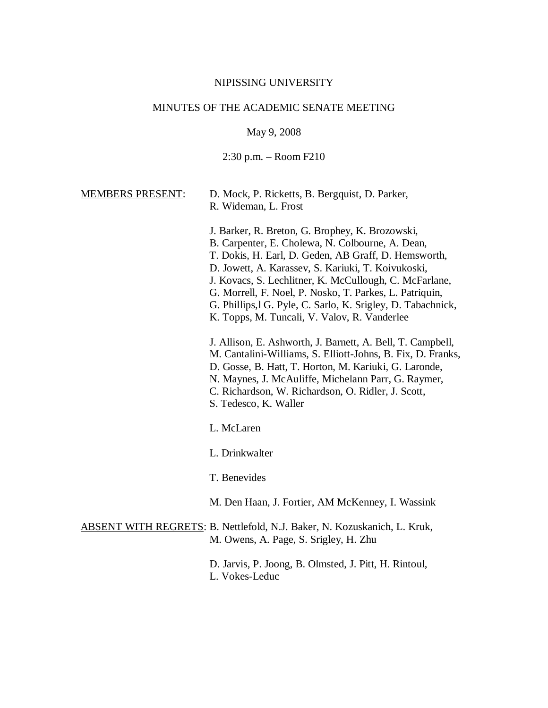### NIPISSING UNIVERSITY

# MINUTES OF THE ACADEMIC SENATE MEETING

May 9, 2008

2:30 p.m. – Room F210

MEMBERS PRESENT: D. Mock, P. Ricketts, B. Bergquist, D. Parker, R. Wideman, L. Frost

- J. Barker, R. Breton, G. Brophey, K. Brozowski, B. Carpenter, E. Cholewa, N. Colbourne, A. Dean, T. Dokis, H. Earl, D. Geden, AB Graff, D. Hemsworth, D. Jowett, A. Karassev, S. Kariuki, T. Koivukoski, J. Kovacs, S. Lechlitner, K. McCullough, C. McFarlane, G. Morrell, F. Noel, P. Nosko, T. Parkes, L. Patriquin, G. Phillips,l G. Pyle, C. Sarlo, K. Srigley, D. Tabachnick, K. Topps, M. Tuncali, V. Valov, R. Vanderlee J. Allison, E. Ashworth, J. Barnett, A. Bell, T. Campbell,
- M. Cantalini-Williams, S. Elliott-Johns, B. Fix, D. Franks,
- D. Gosse, B. Hatt, T. Horton, M. Kariuki, G. Laronde,
- N. Maynes, J. McAuliffe, Michelann Parr, G. Raymer,
- C. Richardson, W. Richardson, O. Ridler, J. Scott,
- S. Tedesco, K. Waller
- L. McLaren
- L. Drinkwalter
- T. Benevides
- M. Den Haan, J. Fortier, AM McKenney, I. Wassink
- ABSENT WITH REGRETS: B. Nettlefold, N.J. Baker, N. Kozuskanich, L. Kruk, M. Owens, A. Page, S. Srigley, H. Zhu
	- D. Jarvis, P. Joong, B. Olmsted, J. Pitt, H. Rintoul,
	- L. Vokes-Leduc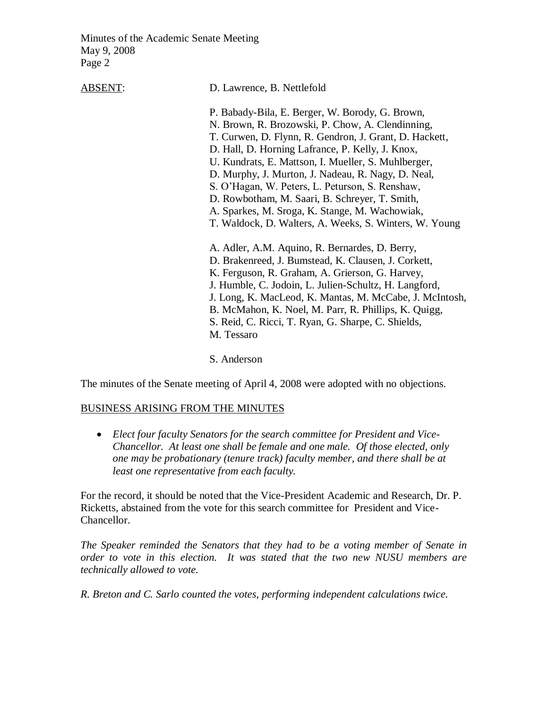ABSENT: D. Lawrence, B. Nettlefold

P. Babady-Bila, E. Berger, W. Borody, G. Brown, N. Brown, R. Brozowski, P. Chow, A. Clendinning, T. Curwen, D. Flynn, R. Gendron, J. Grant, D. Hackett, D. Hall, D. Horning Lafrance, P. Kelly, J. Knox, U. Kundrats, E. Mattson, I. Mueller, S. Muhlberger, D. Murphy, J. Murton, J. Nadeau, R. Nagy, D. Neal, S. O'Hagan, W. Peters, L. Peturson, S. Renshaw, D. Rowbotham, M. Saari, B. Schreyer, T. Smith, A. Sparkes, M. Sroga, K. Stange, M. Wachowiak, T. Waldock, D. Walters, A. Weeks, S. Winters, W. Young A. Adler, A.M. Aquino, R. Bernardes, D. Berry, D. Brakenreed, J. Bumstead, K. Clausen, J. Corkett, K. Ferguson, R. Graham, A. Grierson, G. Harvey, J. Humble, C. Jodoin, L. Julien-Schultz, H. Langford, J. Long, K. MacLeod, K. Mantas, M. McCabe, J. McIntosh, B. McMahon, K. Noel, M. Parr, R. Phillips, K. Quigg, S. Reid, C. Ricci, T. Ryan, G. Sharpe, C. Shields, M. Tessaro

S. Anderson

The minutes of the Senate meeting of April 4, 2008 were adopted with no objections.

### BUSINESS ARISING FROM THE MINUTES

 *Elect four faculty Senators for the search committee for President and Vice-Chancellor. At least one shall be female and one male. Of those elected, only one may be probationary (tenure track) faculty member, and there shall be at least one representative from each faculty.*

For the record, it should be noted that the Vice-President Academic and Research, Dr. P. Ricketts, abstained from the vote for this search committee for President and Vice-Chancellor.

*The Speaker reminded the Senators that they had to be a voting member of Senate in order to vote in this election. It was stated that the two new NUSU members are technically allowed to vote.*

*R. Breton and C. Sarlo counted the votes, performing independent calculations twice.*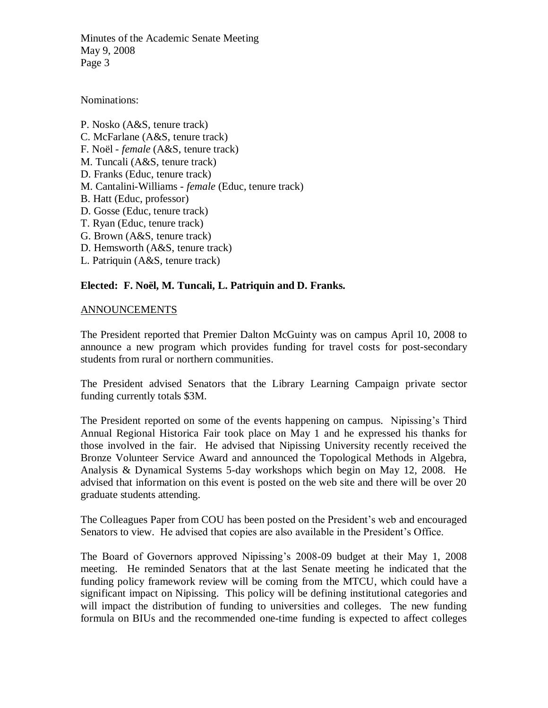Nominations:

P. Nosko (A&S, tenure track) C. McFarlane (A&S, tenure track) F. Noël - *female* (A&S, tenure track) M. Tuncali (A&S, tenure track) D. Franks (Educ, tenure track) M. Cantalini-Williams - *female* (Educ, tenure track) B. Hatt (Educ, professor) D. Gosse (Educ, tenure track) T. Ryan (Educ, tenure track) G. Brown (A&S, tenure track) D. Hemsworth (A&S, tenure track) L. Patriquin (A&S, tenure track)

# **Elected: F. Noël, M. Tuncali, L. Patriquin and D. Franks.**

# ANNOUNCEMENTS

The President reported that Premier Dalton McGuinty was on campus April 10, 2008 to announce a new program which provides funding for travel costs for post-secondary students from rural or northern communities.

The President advised Senators that the Library Learning Campaign private sector funding currently totals \$3M.

The President reported on some of the events happening on campus. Nipissing's Third Annual Regional Historica Fair took place on May 1 and he expressed his thanks for those involved in the fair. He advised that Nipissing University recently received the Bronze Volunteer Service Award and announced the Topological Methods in Algebra, Analysis & Dynamical Systems 5-day workshops which begin on May 12, 2008. He advised that information on this event is posted on the web site and there will be over 20 graduate students attending.

The Colleagues Paper from COU has been posted on the President's web and encouraged Senators to view. He advised that copies are also available in the President's Office.

The Board of Governors approved Nipissing's 2008-09 budget at their May 1, 2008 meeting. He reminded Senators that at the last Senate meeting he indicated that the funding policy framework review will be coming from the MTCU, which could have a significant impact on Nipissing. This policy will be defining institutional categories and will impact the distribution of funding to universities and colleges. The new funding formula on BIUs and the recommended one-time funding is expected to affect colleges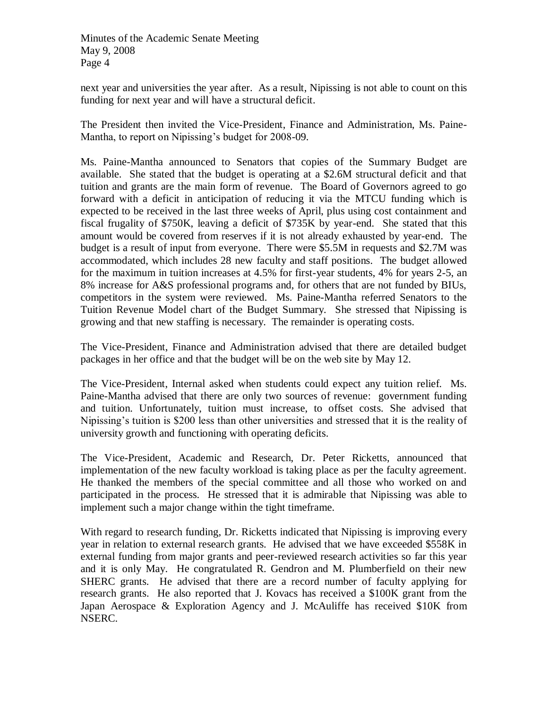next year and universities the year after. As a result, Nipissing is not able to count on this funding for next year and will have a structural deficit.

The President then invited the Vice-President, Finance and Administration, Ms. Paine-Mantha, to report on Nipissing's budget for 2008-09.

Ms. Paine-Mantha announced to Senators that copies of the Summary Budget are available. She stated that the budget is operating at a \$2.6M structural deficit and that tuition and grants are the main form of revenue. The Board of Governors agreed to go forward with a deficit in anticipation of reducing it via the MTCU funding which is expected to be received in the last three weeks of April, plus using cost containment and fiscal frugality of \$750K, leaving a deficit of \$735K by year-end. She stated that this amount would be covered from reserves if it is not already exhausted by year-end. The budget is a result of input from everyone. There were \$5.5M in requests and \$2.7M was accommodated, which includes 28 new faculty and staff positions. The budget allowed for the maximum in tuition increases at 4.5% for first-year students, 4% for years 2-5, an 8% increase for A&S professional programs and, for others that are not funded by BIUs, competitors in the system were reviewed. Ms. Paine-Mantha referred Senators to the Tuition Revenue Model chart of the Budget Summary. She stressed that Nipissing is growing and that new staffing is necessary. The remainder is operating costs.

The Vice-President, Finance and Administration advised that there are detailed budget packages in her office and that the budget will be on the web site by May 12.

The Vice-President, Internal asked when students could expect any tuition relief. Ms. Paine-Mantha advised that there are only two sources of revenue: government funding and tuition. Unfortunately, tuition must increase, to offset costs. She advised that Nipissing's tuition is \$200 less than other universities and stressed that it is the reality of university growth and functioning with operating deficits.

The Vice-President, Academic and Research, Dr. Peter Ricketts, announced that implementation of the new faculty workload is taking place as per the faculty agreement. He thanked the members of the special committee and all those who worked on and participated in the process. He stressed that it is admirable that Nipissing was able to implement such a major change within the tight timeframe.

With regard to research funding, Dr. Ricketts indicated that Nipissing is improving every year in relation to external research grants. He advised that we have exceeded \$558K in external funding from major grants and peer-reviewed research activities so far this year and it is only May. He congratulated R. Gendron and M. Plumberfield on their new SHERC grants. He advised that there are a record number of faculty applying for research grants. He also reported that J. Kovacs has received a \$100K grant from the Japan Aerospace & Exploration Agency and J. McAuliffe has received \$10K from NSERC.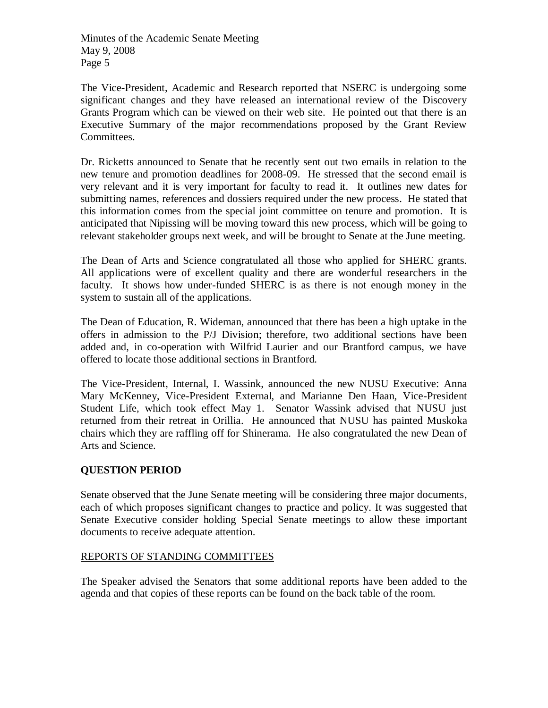The Vice-President, Academic and Research reported that NSERC is undergoing some significant changes and they have released an international review of the Discovery Grants Program which can be viewed on their web site. He pointed out that there is an Executive Summary of the major recommendations proposed by the Grant Review Committees.

Dr. Ricketts announced to Senate that he recently sent out two emails in relation to the new tenure and promotion deadlines for 2008-09. He stressed that the second email is very relevant and it is very important for faculty to read it. It outlines new dates for submitting names, references and dossiers required under the new process. He stated that this information comes from the special joint committee on tenure and promotion. It is anticipated that Nipissing will be moving toward this new process, which will be going to relevant stakeholder groups next week, and will be brought to Senate at the June meeting.

The Dean of Arts and Science congratulated all those who applied for SHERC grants. All applications were of excellent quality and there are wonderful researchers in the faculty. It shows how under-funded SHERC is as there is not enough money in the system to sustain all of the applications.

The Dean of Education, R. Wideman, announced that there has been a high uptake in the offers in admission to the P/J Division; therefore, two additional sections have been added and, in co-operation with Wilfrid Laurier and our Brantford campus, we have offered to locate those additional sections in Brantford.

The Vice-President, Internal, I. Wassink, announced the new NUSU Executive: Anna Mary McKenney, Vice-President External, and Marianne Den Haan, Vice-President Student Life, which took effect May 1. Senator Wassink advised that NUSU just returned from their retreat in Orillia. He announced that NUSU has painted Muskoka chairs which they are raffling off for Shinerama. He also congratulated the new Dean of Arts and Science.

# **QUESTION PERIOD**

Senate observed that the June Senate meeting will be considering three major documents, each of which proposes significant changes to practice and policy. It was suggested that Senate Executive consider holding Special Senate meetings to allow these important documents to receive adequate attention.

# REPORTS OF STANDING COMMITTEES

The Speaker advised the Senators that some additional reports have been added to the agenda and that copies of these reports can be found on the back table of the room.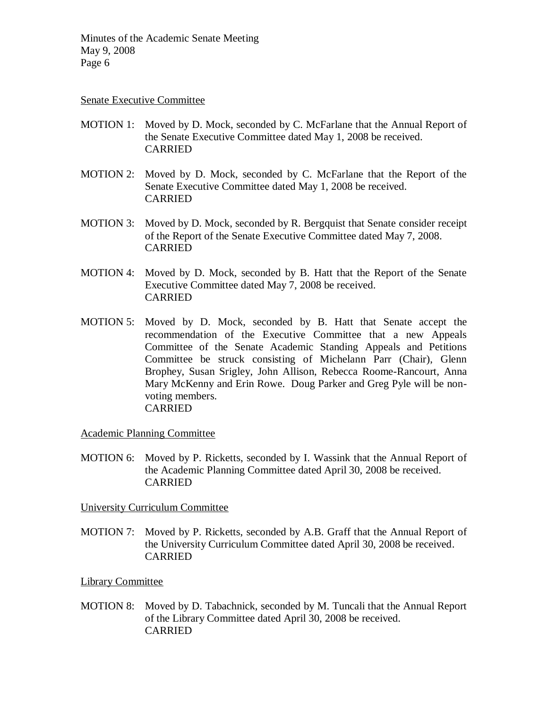### Senate Executive Committee

- MOTION 1: Moved by D. Mock, seconded by C. McFarlane that the Annual Report of the Senate Executive Committee dated May 1, 2008 be received. CARRIED
- MOTION 2: Moved by D. Mock, seconded by C. McFarlane that the Report of the Senate Executive Committee dated May 1, 2008 be received. CARRIED
- MOTION 3: Moved by D. Mock, seconded by R. Bergquist that Senate consider receipt of the Report of the Senate Executive Committee dated May 7, 2008. CARRIED
- MOTION 4: Moved by D. Mock, seconded by B. Hatt that the Report of the Senate Executive Committee dated May 7, 2008 be received. CARRIED
- MOTION 5: Moved by D. Mock, seconded by B. Hatt that Senate accept the recommendation of the Executive Committee that a new Appeals Committee of the Senate Academic Standing Appeals and Petitions Committee be struck consisting of Michelann Parr (Chair), Glenn Brophey, Susan Srigley, John Allison, Rebecca Roome-Rancourt, Anna Mary McKenny and Erin Rowe. Doug Parker and Greg Pyle will be nonvoting members. CARRIED

Academic Planning Committee

MOTION 6: Moved by P. Ricketts, seconded by I. Wassink that the Annual Report of the Academic Planning Committee dated April 30, 2008 be received. CARRIED

University Curriculum Committee

MOTION 7: Moved by P. Ricketts, seconded by A.B. Graff that the Annual Report of the University Curriculum Committee dated April 30, 2008 be received. CARRIED

Library Committee

MOTION 8: Moved by D. Tabachnick, seconded by M. Tuncali that the Annual Report of the Library Committee dated April 30, 2008 be received. CARRIED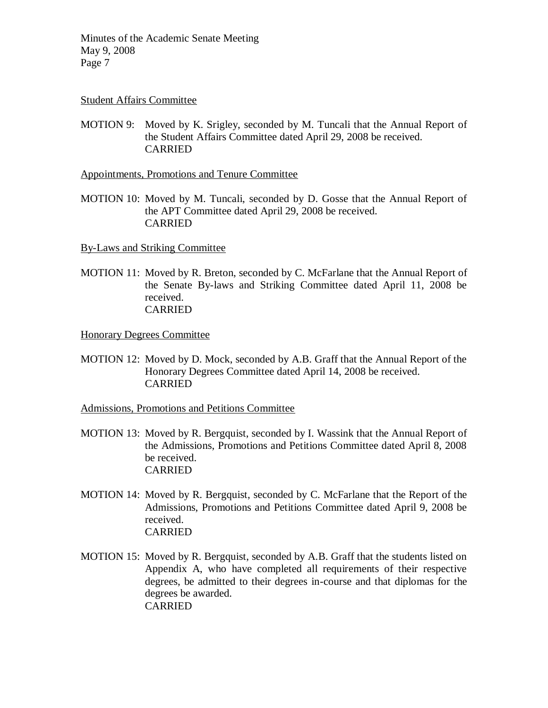# Student Affairs Committee

MOTION 9: Moved by K. Srigley, seconded by M. Tuncali that the Annual Report of the Student Affairs Committee dated April 29, 2008 be received. CARRIED

Appointments, Promotions and Tenure Committee

MOTION 10: Moved by M. Tuncali, seconded by D. Gosse that the Annual Report of the APT Committee dated April 29, 2008 be received. CARRIED

By-Laws and Striking Committee

MOTION 11: Moved by R. Breton, seconded by C. McFarlane that the Annual Report of the Senate By-laws and Striking Committee dated April 11, 2008 be received. CARRIED

Honorary Degrees Committee

MOTION 12: Moved by D. Mock, seconded by A.B. Graff that the Annual Report of the Honorary Degrees Committee dated April 14, 2008 be received. CARRIED

Admissions, Promotions and Petitions Committee

- MOTION 13: Moved by R. Bergquist, seconded by I. Wassink that the Annual Report of the Admissions, Promotions and Petitions Committee dated April 8, 2008 be received. CARRIED
- MOTION 14: Moved by R. Bergquist, seconded by C. McFarlane that the Report of the Admissions, Promotions and Petitions Committee dated April 9, 2008 be received. CARRIED
- MOTION 15: Moved by R. Bergquist, seconded by A.B. Graff that the students listed on Appendix A, who have completed all requirements of their respective degrees, be admitted to their degrees in-course and that diplomas for the degrees be awarded. **CARRIED**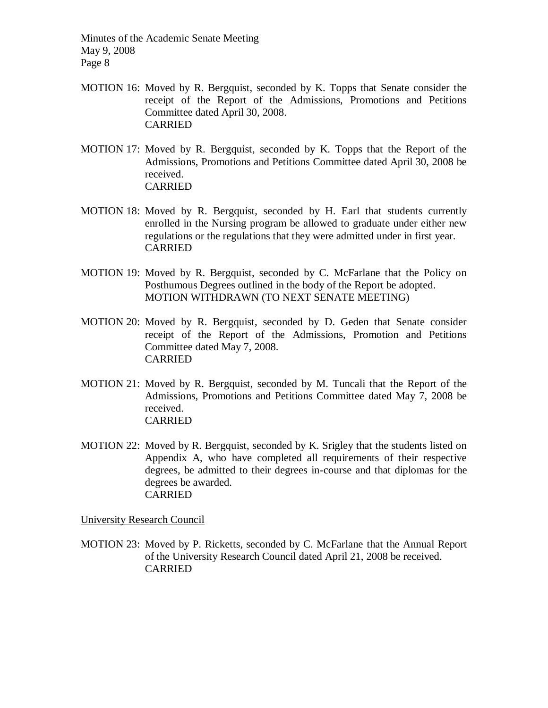- MOTION 16: Moved by R. Bergquist, seconded by K. Topps that Senate consider the receipt of the Report of the Admissions, Promotions and Petitions Committee dated April 30, 2008. **CARRIED**
- MOTION 17: Moved by R. Bergquist, seconded by K. Topps that the Report of the Admissions, Promotions and Petitions Committee dated April 30, 2008 be received. CARRIED
- MOTION 18: Moved by R. Bergquist, seconded by H. Earl that students currently enrolled in the Nursing program be allowed to graduate under either new regulations or the regulations that they were admitted under in first year. CARRIED
- MOTION 19: Moved by R. Bergquist, seconded by C. McFarlane that the Policy on Posthumous Degrees outlined in the body of the Report be adopted. MOTION WITHDRAWN (TO NEXT SENATE MEETING)
- MOTION 20: Moved by R. Bergquist, seconded by D. Geden that Senate consider receipt of the Report of the Admissions, Promotion and Petitions Committee dated May 7, 2008. CARRIED
- MOTION 21: Moved by R. Bergquist, seconded by M. Tuncali that the Report of the Admissions, Promotions and Petitions Committee dated May 7, 2008 be received. CARRIED
- MOTION 22: Moved by R. Bergquist, seconded by K. Srigley that the students listed on Appendix A, who have completed all requirements of their respective degrees, be admitted to their degrees in-course and that diplomas for the degrees be awarded. CARRIED

University Research Council

MOTION 23: Moved by P. Ricketts, seconded by C. McFarlane that the Annual Report of the University Research Council dated April 21, 2008 be received. CARRIED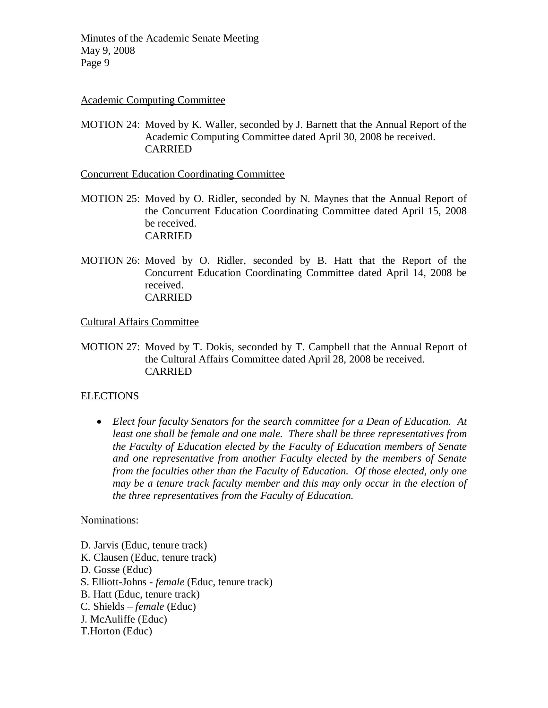### Academic Computing Committee

MOTION 24: Moved by K. Waller, seconded by J. Barnett that the Annual Report of the Academic Computing Committee dated April 30, 2008 be received. CARRIED

Concurrent Education Coordinating Committee

- MOTION 25: Moved by O. Ridler, seconded by N. Maynes that the Annual Report of the Concurrent Education Coordinating Committee dated April 15, 2008 be received. **CARRIED**
- MOTION 26: Moved by O. Ridler, seconded by B. Hatt that the Report of the Concurrent Education Coordinating Committee dated April 14, 2008 be received. **CARRIED**

Cultural Affairs Committee

MOTION 27: Moved by T. Dokis, seconded by T. Campbell that the Annual Report of the Cultural Affairs Committee dated April 28, 2008 be received. CARRIED

# ELECTIONS

 *Elect four faculty Senators for the search committee for a Dean of Education. At least one shall be female and one male. There shall be three representatives from the Faculty of Education elected by the Faculty of Education members of Senate and one representative from another Faculty elected by the members of Senate from the faculties other than the Faculty of Education. Of those elected, only one may be a tenure track faculty member and this may only occur in the election of the three representatives from the Faculty of Education.*

Nominations:

- D. Jarvis (Educ, tenure track)
- K. Clausen (Educ, tenure track)
- D. Gosse (Educ)
- S. Elliott-Johns *female* (Educ, tenure track)
- B. Hatt (Educ, tenure track)
- C. Shields *female* (Educ)
- J. McAuliffe (Educ)
- T.Horton (Educ)